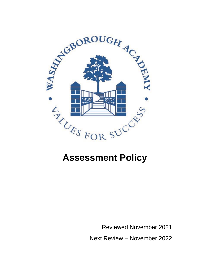

# **Assessment Policy**

Reviewed November 2021

Next Review – November 2022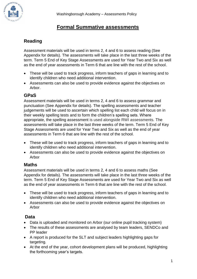

# **Formal Summative assessments**

# **Reading**

Assessment materials will be used in terms 2, 4 and 6 to assess reading (See Appendix for details). The assessments will take place in the last three weeks of the term. Term 5 End of Key Stage Assessments are used for Year Two and Six as well as the end of year assessments in Term 6 that are line with the rest of the school.

- These will be used to track progress, inform teachers of gaps in learning and to identify children who need additional intervention.
- Assessments can also be used to provide evidence against the objectives on Arbor.

# **GPaS**

Assessment materials will be used in terms 2, 4 and 6 to assess grammar and punctuation (See Appendix for details). The spelling assessments and teacher judgements will be used to ascertain which spelling list each child will focus on in their weekly spelling tests and to form the children's spelling sets. Where appropriate, the spelling assessment is used alongside RWI assessments. The assessments will take place in the last three weeks of the term. Term 5 End of Key Stage Assessments are used for Year Two and Six as well as the end of year assessments in Term 6 that are line with the rest of the school.

- These will be used to track progress, inform teachers of gaps in learning and to identify children who need additional intervention.
- Assessments can also be used to provide evidence against the objectives on Arbor

#### **Maths**

Assessment materials will be used in terms 2, 4 and 6 to assess maths (See Appendix for details). The assessments will take place in the last three weeks of the term. Term 5 End of Key Stage Assessments are used for Year Two and Six as well as the end of year assessments in Term 6 that are line with the rest of the school.

- These will be used to track progress, inform teachers of gaps in learning and to identify children who need additional intervention.
- Assessments can also be used to provide evidence against the objectives on Arbor

#### **Data**

- Data is uploaded and monitored on Arbor (our online pupil tracking system)
- The results of these assessments are analysed by team leaders, SENDCo and PP leader
- A report is produced for the SLT and subject leaders highlighting gaps for targeting.
- At the end of the year, cohort development plans will be produced, highlighting the forthcoming year's targets.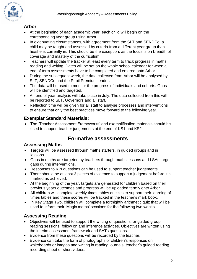# **Arbor**

GBOROUGH Ar

- At the beginning of each academic year, each child will begin on the corresponding year group using Arbor.
- In extenuating circumstances, with agreement from the SLT and SENDCo, a child may be taught and assessed by criteria from a different year group than he/she is currently in. This should be the exception, as the focus is on breadth of coverage and mastery of the curriculum.
- Teachers will update the tracker at least every term to track progress in maths, reading and writing. Dates will be set on the whole school calendar for when all end of term assessments have to be completed and entered onto Arbor.
- During the subsequent week, the data collected from Arbor will be analysed by SLT, SENDCo and the Pupil Premium leader.
- The data will be used to monitor the progress of individuals and cohorts. Gaps will be identified and targeted.
- An end of year analysis will take place in July. The data collected from this will be reported to SLT, Governors and all staff.
- Reflection time will be given for all staff to analyse processes and interventions to ensure that only the best practices move forward to the following year.

## **Exemplar Standard Materials:**

• The 'Teacher Assessment Frameworks' and exemplification materials should be used to support teacher judgements at the end of KS1 and KS2

# **Formative assessments**

#### **Assessing Maths**

- Targets will be assessed through maths starters, in guided groups and in lessons.
- Gaps in maths are targeted by teachers through maths lessons and LSAs target gaps during interventions.
- Responses to KPI questions can be used to support teacher judgements.
- There should be at least 3 pieces of evidence to support a judgement before it is marked as achieved.
- At the beginning of the year, targets are generated for children based on their previous years outcomes and progress will be uploaded termly onto Arbor.
- All children will complete weekly times tables quizzes to support their learning of times tables and these scores will be tracked in the teacher's mark book.
- In Key Stage Two, children will complete a fortnightly arithmetic quiz that will be used to inform their 'Magic maths' sessions for the following two weeks.

# **Assessing Reading**

- Objectives will be used to support the writing of questions for guided group reading sessions, follow on and inference activities. Objectives are written using the interim assessment framework and SATs questions.
- Evidence from these questions will be recorded by the teacher.
- Evidence can take the form of photographs of children's responses on whiteboards or images and writing in reading journals, teacher's guided reading recording sheet or short videos.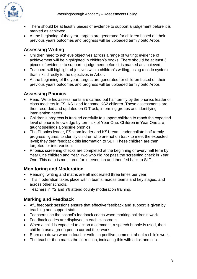

- There should be at least 3 pieces of evidence to support a judgement before it is marked as achieved.
- At the beginning of the year, targets are generated for children based on their previous years outcomes and progress will be uploaded termly onto Arbor.

# **Assessing Writing**

- Children need to achieve objectives across a range of writing; evidence of achievement will be highlighted in children's books. There should be at least 3 pieces of evidence to support a judgement before it is marked as achieved.
- Teachers will highlight objectives within children's writing, using a code system that links directly to the objectives in Arbor.
- At the beginning of the year, targets are generated for children based on their previous years outcomes and progress will be uploaded termly onto Arbor.

# **Assessing Phonics**

- Read, Write Inc assessments are carried out half termly by the phonics leader or class teachers in FS, KS1 and for some KS2 children. These assessments are then recorded and updated on O Track, informing groups and identifying intervention needs.
- Children's progress is tracked carefully to support children to reach the expected level of phonic knowledge by term six of Year One. Children in Year One are taught spellings alongside phonics.
- The Phonics leader, FS team leader and KS1 team leader collate half-termly progress figures, to identify children who are not on track to meet the expected level; they then feedback this information to SLT. These children are then targeted for intervention.
- Phonics screening checks are completed at the beginning of every half term by Year One children and Year Two who did not pass the screening check in Year One. This data is monitored for intervention and then fed back to SLT.

## **Monitoring and Moderation**

- Reading, writing and maths are all moderated three times per year.
- This moderation takes place within teams, across teams and key stages, and across other schools.
- Teachers in Y2 and Y6 attend county moderation training.

## **Marking and Feedback**

- AfL feedback sessions ensure that effective feedback and support is given by teaching and support staff.
- Teachers use the school's feedback codes when marking children's work.
- Feedback codes are displayed in each classroom.
- When a child is expected to action a comment, a speech bubble is used, then children use a green pen to correct their work.
- Stars are drawn when a teacher writes a positive comment about a child's work.
- The teacher then marks the correction, indicating this with a tick and a 'c'.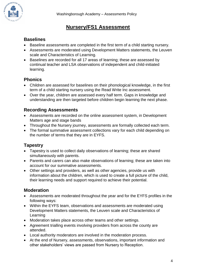

# **Nursery/FS1 Assessment**

#### **Baselines**

- Baseline assessments are completed in the first term of a child starting nursery.
- Assessments are moderated using Development Matters statements, the Leuven scale and Characteristics of Learning.
- Baselines are recorded for all 17 areas of learning; these are assessed by continual teacher and LSA observations of independent and child-initiated learning.

# **Phonics**

- Children are assessed for baselines on their phonological knowledge, in the first term of a child starting nursery using the Read Write Inc assessment.
- Over the year, children are assessed every half term. Gaps in knowledge and understanding are then targeted before children begin learning the next phase.

#### **Recording Assessments**

- Assessments are recorded on the online assessment system, in Development Matters age and stage bands
- Throughout the Nursery journey, assessments are formally collected each term.
- The formal summative assessment collections vary for each child depending on the number of terms that they are in EYFS.

## **Tapestry**

- Tapestry is used to collect daily observations of learning; these are shared simultaneously with parents.
- Parents and carers can also make observations of learning; these are taken into account for our summative assessments.
- Other settings and providers, as well as other agencies, provide us with information about the children, which is used to create a full picture of the child, their learning needs and support required to achieve their potential.

## **Moderation**

- Assessments are moderated throughout the year and for the EYFS profiles in the following ways:
- Within the EYFS team, observations and assessments are moderated using Development Matters statements, the Leuven scale and Characteristics of Learning
- Moderation takes place across other teams and other settings.
- Agreement trialling events involving providers from across the county are attended.
- Local authority moderators are involved in the moderation process.
- At the end of Nursery, assessments, observations, important information and other stakeholders' views are passed from Nursery to Reception.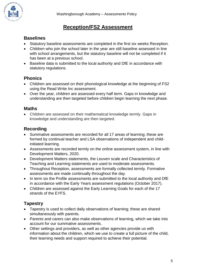# **Reception/FS2 Assessment**

#### **Baselines**

- Statutory baseline assessments are completed in the first six weeks Reception.
- Children who join the school later in the year are still baseline assessed in line with school arrangements, but the statutory baseline will not be completed if it has been at a previous school.
- Baseline data is submitted to the local authority and DfE in accordance with statutory regulations.

#### **Phonics**

- Children are assessed on their phonological knowledge at the beginning of FS2 using the Read Write Inc assessment.
- Over the year, children are assessed every half term. Gaps in knowledge and understanding are then targeted before children begin learning the next phase.

#### **Maths**

• Children are assessed on their mathematical knowledge termly. Gaps in knowledge and understanding are then targeted.

#### **Recording**

- Summative assessments are recorded for all 17 areas of learning; these are formed by continual teacher and LSA observations of independent and childinitiated learning.
- Assessments are recorded termly on the online assessment system, in line with Development Matters, 2020.
- Development Matters statements, the Leuven scale and Characteristics of Teaching and Learning statements are used to moderate assessments.
- Throughout Reception, assessments are formally collected termly. Formative assessments are made continually throughout the day.
- In term six the Profile assessments are submitted to the local authority and DfE in accordance with the Early Years assessment regulations (October 2017).
- Children are assessed against the Early Learning Goals for each of the 17 strands of the EYFS.

## **Tapestry**

- Tapestry is used to collect daily observations of learning; these are shared simultaneously with parents.
- Parents and carers can also make observations of learning, which we take into account for our summative assessments.
- Other settings and providers, as well as other agencies provide us with information about the children, which we use to create a full picture of the child, their learning needs and support required to achieve their potential.